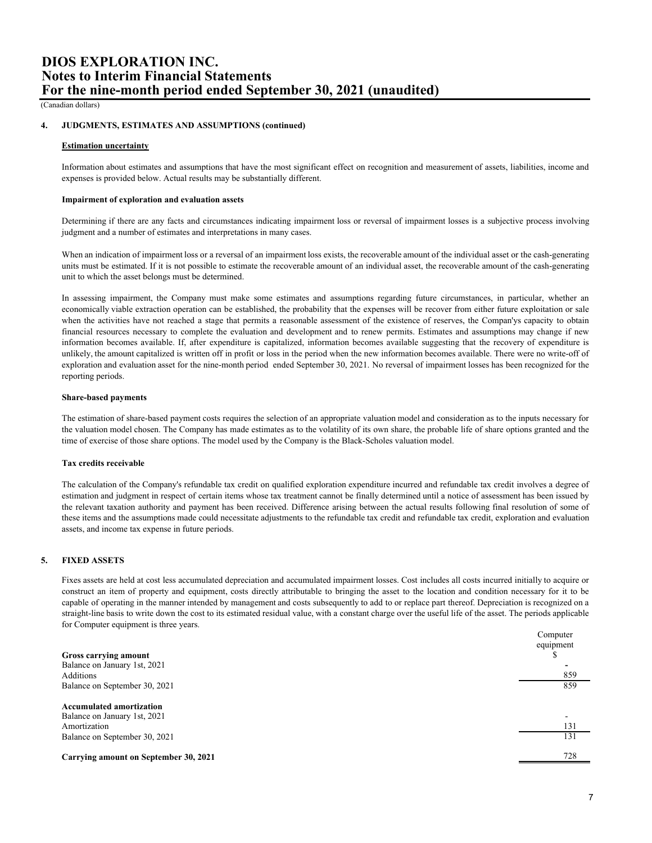(Canadian dollars)

#### **4. JUDGMENTS, ESTIMATES AND ASSUMPTIONS (continued)**

### **Estimation uncertainty**

Information about estimates and assumptions that have the most significant effect on recognition and measurement of assets, liabilities, income and expenses is provided below. Actual results may be substantially different.

### **Impairment of exploration and evaluation assets**

Determining if there are any facts and circumstances indicating impairment loss or reversal of impairment losses is a subjective process involving judgment and a number of estimates and interpretations in many cases.

When an indication of impairment loss or a reversal of an impairment loss exists, the recoverable amount of the individual asset or the cash-generating units must be estimated. If it is not possible to estimate the recoverable amount of an individual asset, the recoverable amount of the cash-generating unit to which the asset belongs must be determined.

In assessing impairment, the Company must make some estimates and assumptions regarding future circumstances, in particular, whether an economically viable extraction operation can be established, the probability that the expenses will be recover from either future exploitation or sale when the activities have not reached a stage that permits a reasonable assessment of the existence of reserves, the Compan'ys capacity to obtain financial resources necessary to complete the evaluation and development and to renew permits. Estimates and assumptions may change if new information becomes available. If, after expenditure is capitalized, information becomes available suggesting that the recovery of expenditure is unlikely, the amount capitalized is written off in profit or loss in the period when the new information becomes available. There were no write-off of exploration and evaluation asset for the nine-month period ended September 30, 2021. No reversal of impairment losses has been recognized for the reporting periods.

# **Share-based payments**

The estimation of share-based payment costs requires the selection of an appropriate valuation model and consideration as to the inputs necessary for the valuation model chosen. The Company has made estimates as to the volatility of its own share, the probable life of share options granted and the time of exercise of those share options. The model used by the Company is the Black-Scholes valuation model.

### **Tax credits receivable**

The calculation of the Company's refundable tax credit on qualified exploration expenditure incurred and refundable tax credit involves a degree of estimation and judgment in respect of certain items whose tax treatment cannot be finally determined until a notice of assessment has been issued by the relevant taxation authority and payment has been received. Difference arising between the actual results following final resolution of some of these items and the assumptions made could necessitate adjustments to the refundable tax credit and refundable tax credit, exploration and evaluation assets, and income tax expense in future periods.

# **5. FIXED ASSETS**

Fixes assets are held at cost less accumulated depreciation and accumulated impairment losses. Cost includes all costs incurred initially to acquire or construct an item of property and equipment, costs directly attributable to bringing the asset to the location and condition necessary for it to be capable of operating in the manner intended by management and costs subsequently to add to or replace part thereof. Depreciation is recognized on a straight-line basis to write down the cost to its estimated residual value, with a constant charge over the useful life of the asset. The periods applicable for Computer equipment is three years.

|                                           | Computer  |
|-------------------------------------------|-----------|
|                                           | equipment |
| Gross carrying amount                     | D         |
| Balance on January 1st, 2021<br>Additions | 859       |
| Balance on September 30, 2021             | 859       |
| <b>Accumulated amortization</b>           |           |
| Balance on January 1st, 2021              |           |
| Amortization                              | 131       |
| Balance on September 30, 2021             | 131       |
| Carrying amount on September 30, 2021     | 728       |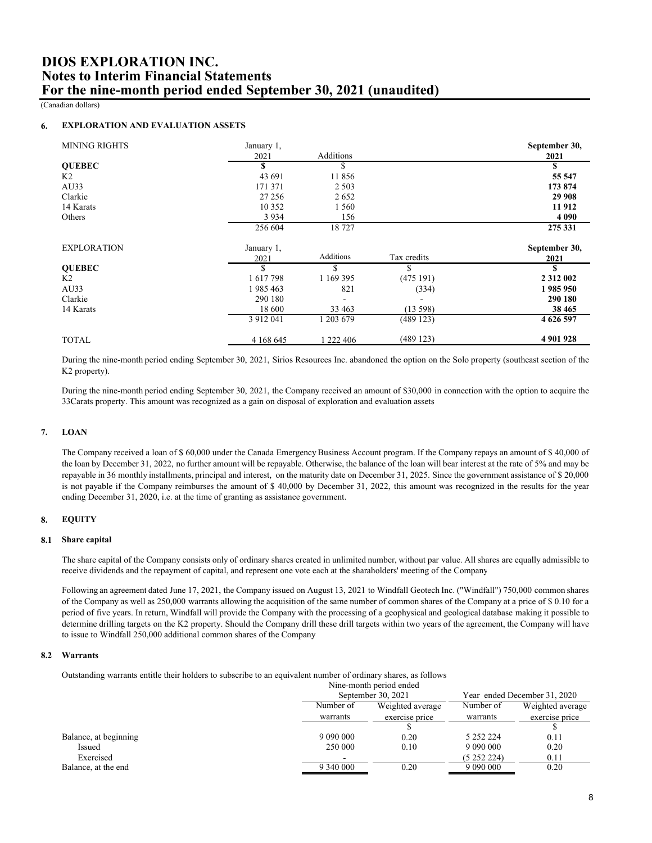(Canadian dollars)

#### **6. EXPLORATION AND EVALUATION ASSETS**

| <b>MINING RIGHTS</b> | January 1,    |                   |             | September 30, |
|----------------------|---------------|-------------------|-------------|---------------|
|                      | 2021          | Additions         |             | 2021          |
| <b>OUEBEC</b>        | S             | S                 |             | S             |
| K2                   | 43 691        | 11856             |             | 55 5 47       |
| AU33                 | 171 371       | 2 5 0 3           |             | 173 874       |
| Clarkie              | 27 25 6       | 2652              |             | 29 908        |
| 14 Karats            | 10 3 5 2      | 1560              |             | 11912         |
| Others               | 3 9 3 4       | 156               |             | 4 0 9 0       |
|                      | 256 604       | 18727             |             | 275 331       |
| <b>EXPLORATION</b>   | January 1,    |                   |             | September 30, |
|                      | 2021          | Additions         | Tax credits | 2021          |
| <b>OUEBEC</b>        | \$            | \$                |             |               |
| K <sub>2</sub>       | 1617798       | 1 169 395         | (475191)    | 2 3 1 2 0 0 2 |
| AU33                 | 1985463       | 821               | (334)       | 1 985 950     |
| Clarkie              | 290 180       | $\qquad \qquad -$ |             | 290 180       |
| 14 Karats            | 18 600        | 33 463            | (13598)     | 38 4 65       |
|                      | 3 9 1 2 0 4 1 | 1 203 679         | (489123)    | 4 626 597     |
| <b>TOTAL</b>         | 4 168 645     | 1 222 406         | (489123)    | 4 901 928     |

During the nine-month period ending September 30, 2021, Sirios Resources Inc. abandoned the option on the Solo property (southeast section of the K2 property).

During the nine-month period ending September 30, 2021, the Company received an amount of \$30,000 in connection with the option to acquire the 33Carats property. This amount was recognized as a gain on disposal of exploration and evaluation assets.

#### **7. LOAN**

The Company received a loan of \$ 60,000 under the Canada Emergency Business Account program. If the Company repays an amount of \$ 40,000 of the loan by December 31, 2022, no further amount will be repayable. Otherwise, the balance of the loan will bear interest at the rate of 5% and may be repayable in 36 monthly installments, principal and interest, on the maturity date on December 31, 2025. Since the government assistance of \$ 20,000 is not payable if the Company reimburses the amount of \$ 40,000 by December 31, 2022, this amount was recognized in the results for the year ending December 31, 2020, i.e. at the time of granting as assistance government.

#### **8. EQUITY**

# **8.1 Share capital**

The share capital of the Company consists only of ordinary shares created in unlimited number, without par value. All shares are equally admissible to receive dividends and the repayment of capital, and represent one vote each at the sharaholders' meeting of the Company.

Following an agreement dated June 17, 2021, the Company issued on August 13, 2021 to Windfall Geotech Inc. ("Windfall") 750,000 common shares of the Company as well as 250,000 warrants allowing the acquisition of the same number of common shares of the Company at a price of \$ 0.10 for a period of five years. In return, Windfall will provide the Company with the processing of a geophysical and geological database making it possible to determine drilling targets on the K2 property. Should the Company drill these drill targets within two years of the agreement, the Company will have to issue to Windfall 250,000 additional common shares of the Company.

# **8.2 Warrants**

Outstanding warrants entitle their holders to subscribe to an equivalent number of ordinary shares, as follows:

|                       | Nine-month period ended |                    |                 |                              |  |
|-----------------------|-------------------------|--------------------|-----------------|------------------------------|--|
|                       |                         | September 30, 2021 |                 | Year ended December 31, 2020 |  |
|                       | Number of               | Weighted average   |                 | Weighted average             |  |
|                       | warrants                | exercise price     | warrants        | exercise price               |  |
|                       |                         |                    |                 |                              |  |
| Balance, at beginning |                         | 0.20               | 5 2 5 2 2 2 2 4 | 0.11                         |  |
| Issued                | 250 000                 | 0.10               |                 | 0.20                         |  |
| Exercised             |                         |                    | (5252224)       | 0.11                         |  |
| Balance, at the end   | 9 340 000               | 0.20               | 9 090 000       | 0.20                         |  |
|                       |                         |                    |                 |                              |  |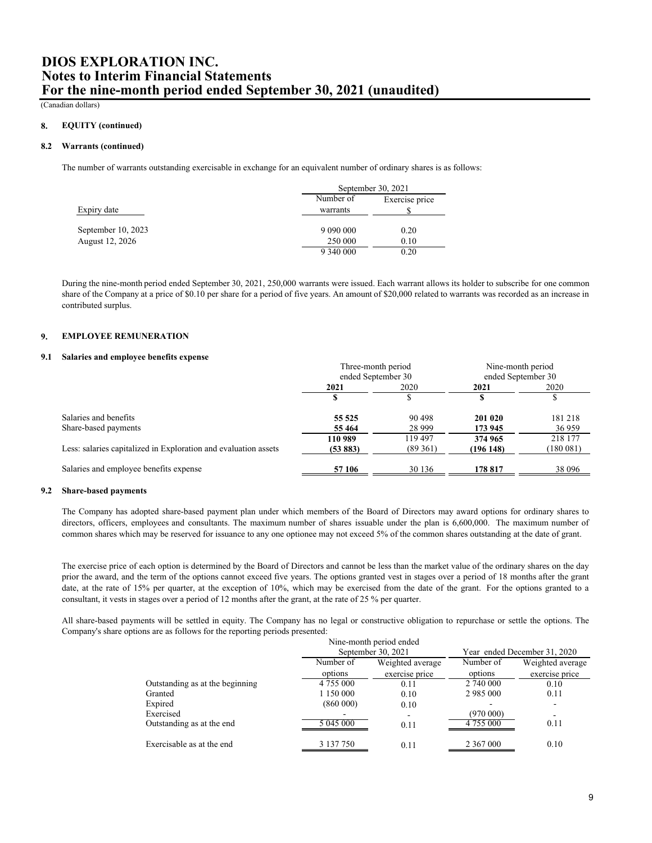(Canadian dollars)

#### **8. EQUITY (continued)**

# **8.2 Warrants (continued)**

The number of warrants outstanding exercisable in exchange for an equivalent number of ordinary shares is as follows:

|                    | September 30, 2021 |                |  |
|--------------------|--------------------|----------------|--|
|                    | Number of          | Exercise price |  |
| Expiry date        | warrants           |                |  |
|                    |                    |                |  |
| September 10, 2023 | 9 090 000          | 0.20           |  |
| August 12, 2026    | 250 000            | 0.10           |  |
|                    | 9 340 000          | 0.20           |  |

During the nine-month period ended September 30, 2021, 250,000 warrants were issued. Each warrant allows its holder to subscribe for one common share of the Company at a price of \$0.10 per share for a period of five years. An amount of \$20,000 related to warrants was recorded as an increase in contributed surplus.

#### **9. EMPLOYEE REMUNERATION**

### **9.1 Salaries and employee benefits expense**

|                                                                 | Three-month period |          | Nine-month period  |           |
|-----------------------------------------------------------------|--------------------|----------|--------------------|-----------|
|                                                                 | ended September 30 |          | ended September 30 |           |
|                                                                 | 2021               | 2020     | 2021               | 2020      |
|                                                                 |                    |          |                    |           |
| Salaries and benefits                                           | 55 525             | 90 498   | 201 020            | 181218    |
| Share-based payments                                            | 55 4 64            | 28 9 9 9 | 173 945            | 36 959    |
|                                                                 | 110 989            | 119 497  | 374 965            | 218 177   |
| Less: salaries capitalized in Exploration and evaluation assets | (53883)            | (89361)  | (196148)           | (180 081) |
| Salaries and employee benefits expense                          | 57 106             | 30 136   | 178 817            | 38 096    |

# **9.2 Share-based payments**

The Company has adopted share-based payment plan under which members of the Board of Directors may award options for ordinary shares to directors, officers, employees and consultants. The maximum number of shares issuable under the plan is 6,600,000. The maximum number of common shares which may be reserved for issuance to any one optionee may not exceed 5% of the common shares outstanding at the date of grant.

The exercise price of each option is determined by the Board of Directors and cannot be less than the market value of the ordinary shares on the day prior the award, and the term of the options cannot exceed five years. The options granted vest in stages over a period of 18 months after the grant date, at the rate of 15% per quarter, at the exception of 10%, which may be exercised from the date of the grant. For the options granted to a consultant, it vests in stages over a period of 12 months after the grant, at the rate of 25 % per quarter.

All share-based payments will be settled in equity. The Company has no legal or constructive obligation to repurchase or settle the options. The Company's share options are as follows for the reporting periods presented:

| Nine-month period ended         |           |                    |               |                              |  |
|---------------------------------|-----------|--------------------|---------------|------------------------------|--|
|                                 |           | September 30, 2021 |               | Year ended December 31, 2020 |  |
|                                 | Number of | Weighted average   | Number of     | Weighted average             |  |
|                                 | options   | exercise price     | options       | exercise price               |  |
| Outstanding as at the beginning | 4 755 000 | 0.11               | 2 740 000     | 0.10                         |  |
| Granted                         | 1 150 000 | 0.10               | 2 985 000     | 0.11                         |  |
| Expired                         | (860000)  | 0.10               |               |                              |  |
| Exercised                       |           |                    | (970 000)     | -                            |  |
| Outstanding as at the end       | 5 045 000 | 0.11               | 4 755 000     | 0.11                         |  |
| Exercisable as at the end       | 3 137 750 | 0.11               | 2 3 6 7 0 0 0 | 0.10                         |  |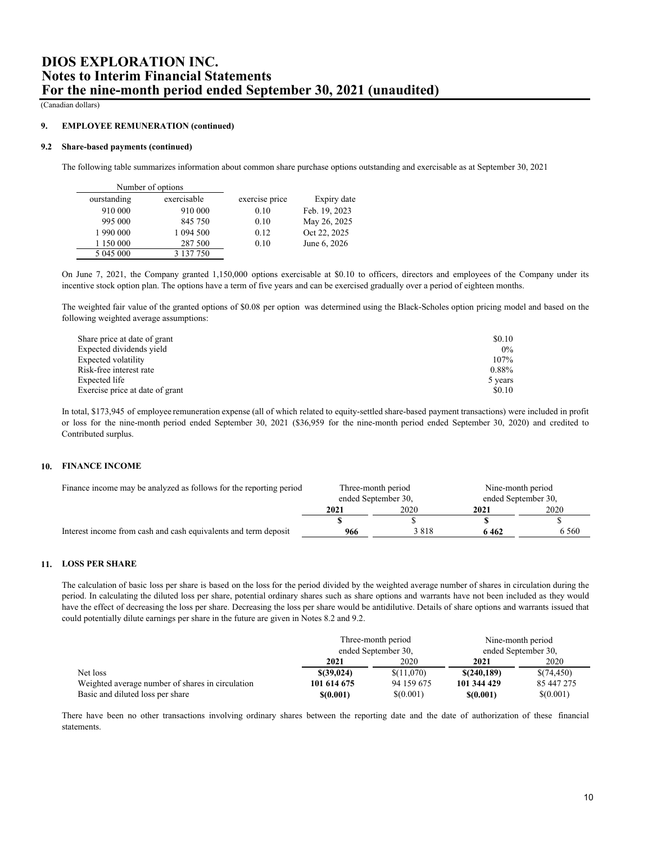(Canadian dollars)

#### **9. EMPLOYEE REMUNERATION (continued)**

### **9.2 Share-based payments (continued)**

The following table summarizes information about common share purchase options outstanding and exercisable as at September 30, 2021:

| Number of options |             |                |               |
|-------------------|-------------|----------------|---------------|
| ourstanding       | exercisable | exercise price | Expiry date   |
| 910 000           | 910 000     | 0.10           | Feb. 19, 2023 |
| 995 000           | 845 750     | 0.10           | May 26, 2025  |
| 1 990 000         | 1 094 500   | 0.12           | Oct 22, 2025  |
| 1 150 000         | 287 500     | 0.10           | June 6, 2026  |
| 5 045 000         | 3 137 750   |                |               |

On June 7, 2021, the Company granted 1,150,000 options exercisable at \$0.10 to officers, directors and employees of the Company under its incentive stock option plan. The options have a term of five years and can be exercised gradually over a period of eighteen months.

The weighted fair value of the granted options of \$0.07 per option was determined using the Black-Scholes option pricing model and based on the following weighted average assumptions:

| Share price at date of grant    | \$0.10  |
|---------------------------------|---------|
| Expected dividends yield        | $0\%$   |
| Expected volatility             | 107%    |
| Risk-free interest rate         | 0.88%   |
| Expected life                   | 5 years |
| Exercise price at date of grant | \$0.10  |

In total, \$173,945 of employee remuneration expense (all of which related to equity-settled share-based payment transactions) were included in profit or loss for the nine-month period ended September 30, 2021 (\$36,959 for the nine-month period ended September 30, 2020) and credited to Contributed surplus.

# **10. FINANCE INCOME**

| Finance income may be analyzed as follows for the reporting period | Three-month period<br>ended September 30, |         | Nine-month period<br>ended September 30, |         |
|--------------------------------------------------------------------|-------------------------------------------|---------|------------------------------------------|---------|
|                                                                    |                                           |         |                                          |         |
|                                                                    | 2021                                      | 2020    | 2021                                     | 2020    |
|                                                                    |                                           |         |                                          |         |
| Interest income from cash and cash equivalents and term deposit    | 966                                       | 3 8 1 8 | 6462                                     | 6 5 6 0 |

## **11. LOSS PER SHARE**

The calculation of basic loss per share is based on the loss for the period divided by the weighted average number of shares in circulation during the period. In calculating the diluted loss per share, potential ordinary shares such as share options and warrants have not been included as they would have the effect of decreasing the loss per share. Decreasing the loss per share would be antidilutive. Details of share options and warrants issued that could potentially dilute earnings per share in the future are given in Notes 8.2 and 9.2.

|                                                  | Three-month period<br>ended September 30, |            | Nine-month period<br>ended September 30, |            |
|--------------------------------------------------|-------------------------------------------|------------|------------------------------------------|------------|
|                                                  |                                           |            |                                          |            |
|                                                  | 2021                                      | 2020       | 2021                                     | 2020       |
| Net loss                                         | $$$ (39,024)                              | \$(11,070) | \$(240, 189)                             | \$(74,450) |
| Weighted average number of shares in circulation | 101 614 675                               | 94 159 675 | 101 344 429                              | 85 447 275 |
| Basic and diluted loss per share                 | \$(0.001)                                 | \$(0.001)  | \$(0.001)                                | \$(0.001)  |

There have been no other transactions involving ordinary shares between the reporting date and the date of authorization of these financial statements.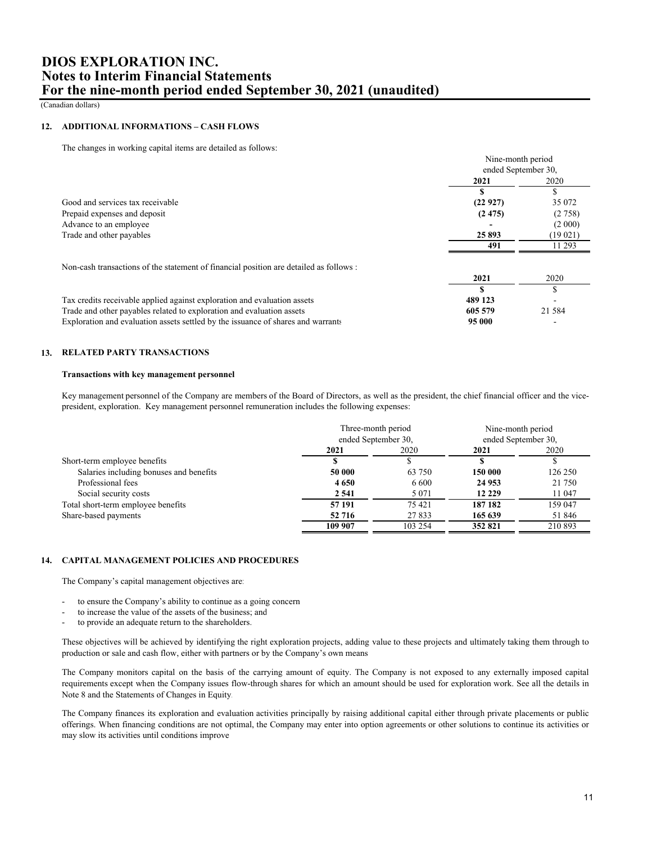(Canadian dollars)

## **12. ADDITIONAL INFORMATIONS – CASH FLOWS**

The changes in working capital items are detailed as follows:

|                                                                                        | Nine-month period<br>ended September 30, |          |
|----------------------------------------------------------------------------------------|------------------------------------------|----------|
|                                                                                        |                                          |          |
|                                                                                        | 2021                                     | 2020     |
|                                                                                        |                                          | S        |
| Good and services tax receivable                                                       | (22927)                                  | 35 072   |
| Prepaid expenses and deposit                                                           | (2475)                                   | (2758)   |
| Advance to an employee                                                                 |                                          | (2 000)  |
| Trade and other payables                                                               | 25893                                    | (19021)  |
|                                                                                        | 491                                      | 11 293   |
| Non-cash transactions of the statement of financial position are detailed as follows : |                                          |          |
|                                                                                        | 2021                                     | 2020     |
|                                                                                        |                                          | \$       |
| Tax credits receivable applied against exploration and evaluation assets               | 489 123                                  |          |
| Trade and other payables related to exploration and evaluation assets                  | 605 579                                  | 21 5 8 4 |
| Exploration and evaluation assets settled by the issuance of shares and warrants       | 95 000                                   |          |

### **13. RELATED PARTY TRANSACTIONS**

# **Transactions with key management personnel**

Key management personnel of the Company are members of the Board of Directors, as well as the president, the chief financial officer and the vicepresident, exploration. Key management personnel remuneration includes the following expenses:

|                                         | Three-month period<br>ended September 30, |         | Nine-month period<br>ended September 30, |         |
|-----------------------------------------|-------------------------------------------|---------|------------------------------------------|---------|
|                                         | 2021                                      | 2020    | 2021                                     | 2020    |
| Short-term employee benefits            |                                           |         |                                          |         |
| Salaries including bonuses and benefits | 50 000                                    | 63 750  | 150 000                                  | 126 250 |
| Professional fees                       | 4650                                      | 6 600   | 24 9 53                                  | 21 750  |
| Social security costs                   | 2541                                      | 5 0 7 1 | 12 229                                   | 11 047  |
| Total short-term employee benefits      | 57 191                                    | 75 421  | 187 182                                  | 159 047 |
| Share-based payments                    | 52 716                                    | 27833   | 165 639                                  | 51 846  |
|                                         | 109 907                                   | 103 254 | 352 821                                  | 210 893 |

# **14. CAPITAL MANAGEMENT POLICIES AND PROCEDURES**

The Company's capital management objectives are:

- to ensure the Company's ability to continue as a going concern;
- to increase the value of the assets of the business; and
- to provide an adequate return to the shareholders.

These objectives will be achieved by identifying the right exploration projects, adding value to these projects and ultimately taking them through to production or sale and cash flow, either with partners or by the Company's own means.

The Company monitors capital on the basis of the carrying amount of equity. The Company is not exposed to any externally imposed capital requirements except when the Company issues flow-through shares for which an amount should be used for exploration work. See all the details in Note 8 and the Statements of Changes in Equity.

The Company finances its exploration and evaluation activities principally by raising additional capital either through private placements or public offerings. When financing conditions are not optimal, the Company may enter into option agreements or other solutions to continue its activities or may slow its activities until conditions improve.